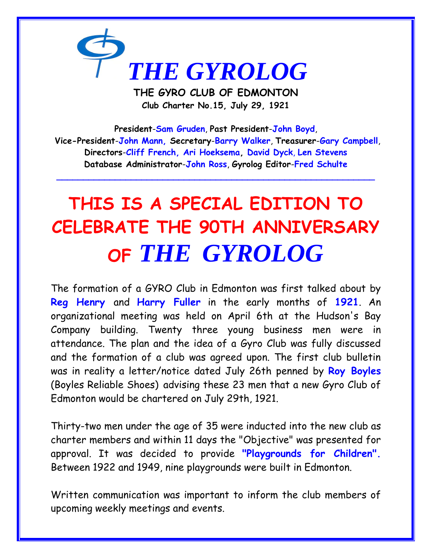

**THE GYRO CLUB OF EDMONTON Club Charter No.15, July 29, 1921**

**President**-**Sam Gruden**, **Past President**-**John Boyd**, **Vice-President**-**John Mann, Secretary**-**Barry Walker**, **Treasurer**-**Gary Campbell**, **Directors**-**Cliff French, Ari Hoeksema, David Dyck**, **Len Stevens Database Administrator**-**John Ross**, **Gyrolog Editor**-**Fred Schulte**

**\_\_\_\_\_\_\_\_\_\_\_\_\_\_\_\_\_\_\_\_\_\_\_\_\_\_\_\_\_\_\_\_\_\_\_\_\_\_\_\_\_\_\_\_\_\_\_\_\_\_\_\_\_\_\_\_\_\_\_\_**

# **THIS IS A SPECIAL EDITION TO CELEBRATE THE 90TH ANNIVERSARY OF** *THE GYROLOG*

The formation of a GYRO Club in Edmonton was first talked about by **Reg Henry** and **Harry Fuller** in the early months of **1921**. An organizational meeting was held on April 6th at the Hudson's Bay Company building. Twenty three young business men were in attendance. The plan and the idea of a Gyro Club was fully discussed and the formation of a club was agreed upon. The first club bulletin was in reality a letter/notice dated July 26th penned by **Roy Boyles** (Boyles Reliable Shoes) advising these 23 men that a new Gyro Club of Edmonton would be chartered on July 29th, 1921.

Thirty-two men under the age of 35 were inducted into the new club as charter members and within 11 days the "Objective" was presented for approval. It was decided to provide **"Playgrounds for Children".**  Between 1922 and 1949, nine playgrounds were built in Edmonton.

Written communication was important to inform the club members of upcoming weekly meetings and events.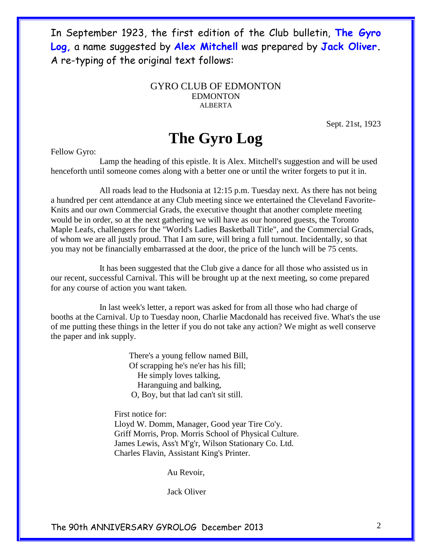In September 1923, the first edition of the Club bulletin, **The Gyro Log,** a name suggested by **Alex Mitchell** was prepared by **Jack Oliver.** A re-typing of the original text follows:

#### GYRO CLUB OF EDMONTON EDMONTON ALBERTA

Sept. 21st, 1923

### **The Gyro Log**

Fellow Gyro:

 Lamp the heading of this epistle. It is Alex. Mitchell's suggestion and will be used henceforth until someone comes along with a better one or until the writer forgets to put it in.

 All roads lead to the Hudsonia at 12:15 p.m. Tuesday next. As there has not being a hundred per cent attendance at any Club meeting since we entertained the Cleveland Favorite-Knits and our own Commercial Grads, the executive thought that another complete meeting would be in order, so at the next gathering we will have as our honored guests, the Toronto Maple Leafs, challengers for the "World's Ladies Basketball Title", and the Commercial Grads, of whom we are all justly proud. That I am sure, will bring a full turnout. Incidentally, so that you may not be financially embarrassed at the door, the price of the lunch will be 75 cents.

 It has been suggested that the Club give a dance for all those who assisted us in our recent, successful Carnival. This will be brought up at the next meeting, so come prepared for any course of action you want taken.

 In last week's letter, a report was asked for from all those who had charge of booths at the Carnival. Up to Tuesday noon, Charlie Macdonald has received five. What's the use of me putting these things in the letter if you do not take any action? We might as well conserve the paper and ink supply.

> There's a young fellow named Bill, Of scrapping he's ne'er has his fill; He simply loves talking, Haranguing and balking, O, Boy, but that lad can't sit still.

 First notice for: Lloyd W. Domm, Manager, Good year Tire Co'y. Griff Morris, Prop. Morris School of Physical Culture. James Lewis, Ass't M'g'r, Wilson Stationary Co. Ltd. Charles Flavin, Assistant King's Printer.

Au Revoir,

Jack Oliver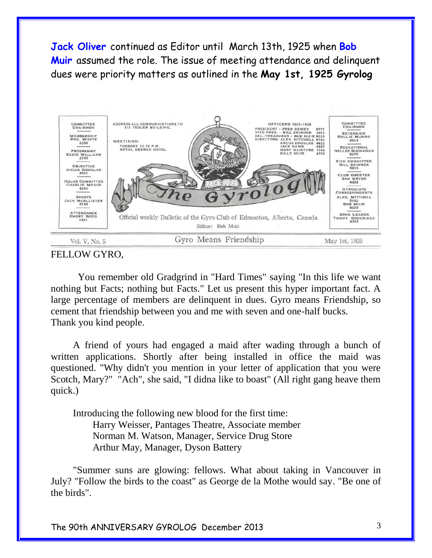**Jack Oliver** continued as Editor until March 13th, 1925 when **Bob Muir** assumed the role. The issue of meeting attendance and delinquent dues were priority matters as outlined in the **May 1st, 1925 Gyrolog**



FELLOW GYRO,

 You remember old Gradgrind in "Hard Times" saying "In this life we want nothing but Facts; nothing but Facts." Let us present this hyper important fact. A large percentage of members are delinquent in dues. Gyro means Friendship, so cement that friendship between you and me with seven and one-half bucks. Thank you kind people.

 A friend of yours had engaged a maid after wading through a bunch of written applications. Shortly after being installed in office the maid was questioned. "Why didn't you mention in your letter of application that you were Scotch, Mary?" "Ach", she said, "I didna like to boast" (All right gang heave them quick.)

 Introducing the following new blood for the first time: Harry Weisser, Pantages Theatre, Associate member Norman M. Watson, Manager, Service Drug Store Arthur May, Manager, Dyson Battery

 "Summer suns are glowing: fellows. What about taking in Vancouver in July? "Follow the birds to the coast" as George de la Mothe would say. "Be one of the birds".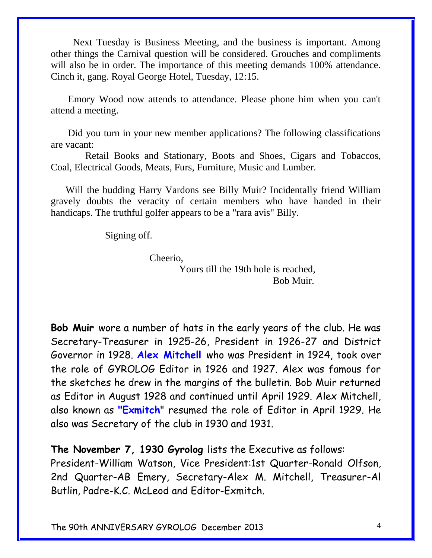Next Tuesday is Business Meeting, and the business is important. Among other things the Carnival question will be considered. Grouches and compliments will also be in order. The importance of this meeting demands 100% attendance. Cinch it, gang. Royal George Hotel, Tuesday, 12:15.

 Emory Wood now attends to attendance. Please phone him when you can't attend a meeting.

 Did you turn in your new member applications? The following classifications are vacant:

 Retail Books and Stationary, Boots and Shoes, Cigars and Tobaccos, Coal, Electrical Goods, Meats, Furs, Furniture, Music and Lumber.

 Will the budding Harry Vardons see Billy Muir? Incidentally friend William gravely doubts the veracity of certain members who have handed in their handicaps. The truthful golfer appears to be a "rara avis" Billy.

Signing off.

Cheerio,

 Yours till the 19th hole is reached, Bob Muir.

**Bob Muir** wore a number of hats in the early years of the club. He was Secretary-Treasurer in 1925-26, President in 1926-27 and District Governor in 1928. **Alex Mitchell** who was President in 1924, took over the role of GYROLOG Editor in 1926 and 1927. Alex was famous for the sketches he drew in the margins of the bulletin. Bob Muir returned as Editor in August 1928 and continued until April 1929. Alex Mitchell, also known as **"Exmitch**" resumed the role of Editor in April 1929. He also was Secretary of the club in 1930 and 1931.

**The November 7, 1930 Gyrolog** lists the Executive as follows: President-William Watson, Vice President:1st Quarter-Ronald Olfson, 2nd Quarter-AB Emery, Secretary-Alex M. Mitchell, Treasurer-Al Butlin, Padre-K.C. McLeod and Editor-Exmitch.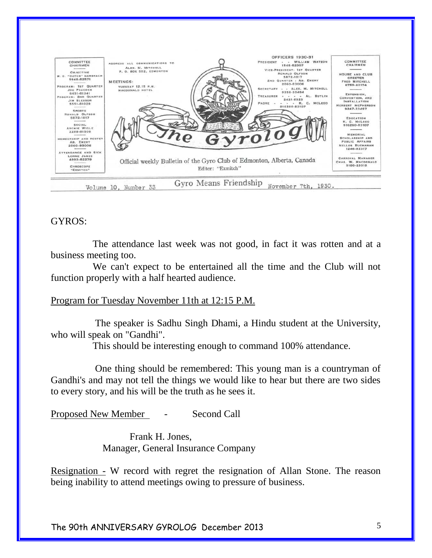

#### GYROS:

 The attendance last week was not good, in fact it was rotten and at a business meeting too.

 We can't expect to be entertained all the time and the Club will not function properly with a half hearted audience.

#### Program for Tuesday November 11th at 12:15 P.M.

 The speaker is Sadhu Singh Dhami, a Hindu student at the University, who will speak on "Gandhi".

This should be interesting enough to command 100% attendance.

 One thing should be remembered: This young man is a countryman of Gandhi's and may not tell the things we would like to hear but there are two sides to every story, and his will be the truth as he sees it.

Proposed New Member - Second Call

 Frank H. Jones, Manager, General Insurance Company

Resignation - W record with regret the resignation of Allan Stone. The reason being inability to attend meetings owing to pressure of business.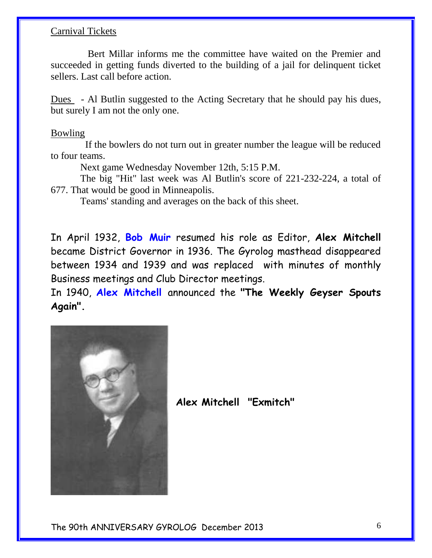#### Carnival Tickets

 Bert Millar informs me the committee have waited on the Premier and succeeded in getting funds diverted to the building of a jail for delinquent ticket sellers. Last call before action.

Dues - Al Butlin suggested to the Acting Secretary that he should pay his dues, but surely I am not the only one.

#### Bowling

 If the bowlers do not turn out in greater number the league will be reduced to four teams.

Next game Wednesday November 12th, 5:15 P.M.

 The big "Hit" last week was Al Butlin's score of 221-232-224, a total of 677. That would be good in Minneapolis.

Teams' standing and averages on the back of this sheet.

In April 1932, **Bob Muir** resumed his role as Editor, **Alex Mitchell** became District Governor in 1936. The Gyrolog masthead disappeared between 1934 and 1939 and was replaced with minutes of monthly Business meetings and Club Director meetings.

In 1940, **Alex Mitchell** announced the **"The Weekly Geyser Spouts Again".** 



**Alex Mitchell "Exmitch"**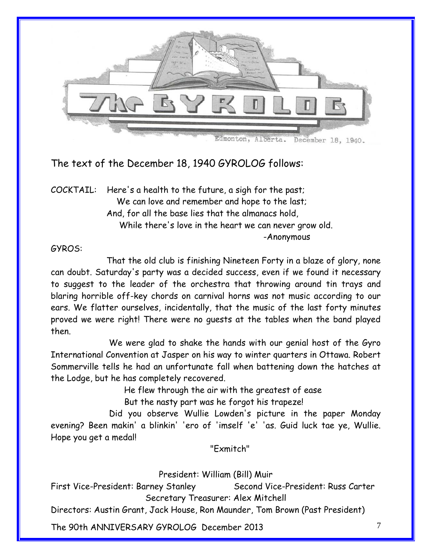

The text of the December 18, 1940 GYROLOG follows:

COCKTAIL: Here's a health to the future, a sigh for the past; We can love and remember and hope to the last; And, for all the base lies that the almanacs hold, While there's love in the heart we can never grow old. -Anonymous

#### GYROS:

 That the old club is finishing Nineteen Forty in a blaze of glory, none can doubt. Saturday's party was a decided success, even if we found it necessary to suggest to the leader of the orchestra that throwing around tin trays and blaring horrible off-key chords on carnival horns was not music according to our ears. We flatter ourselves, incidentally, that the music of the last forty minutes proved we were right! There were no guests at the tables when the band played then.

 We were glad to shake the hands with our genial host of the Gyro International Convention at Jasper on his way to winter quarters in Ottawa. Robert Sommerville tells he had an unfortunate fall when battening down the hatches at the Lodge, but he has completely recovered.

He flew through the air with the greatest of ease

But the nasty part was he forgot his trapeze!

 Did you observe Wullie Lowden's picture in the paper Monday evening? Been makin' a blinkin' 'ero of 'imself 'e' 'as. Guid luck tae ye, Wullie. Hope you get a medal!

"Exmitch"

President: William (Bill) Muir

First Vice-President: Barney Stanley Second Vice-President: Russ Carter Secretary Treasurer: Alex Mitchell

Directors: Austin Grant, Jack House, Ron Maunder, Tom Brown (Past President)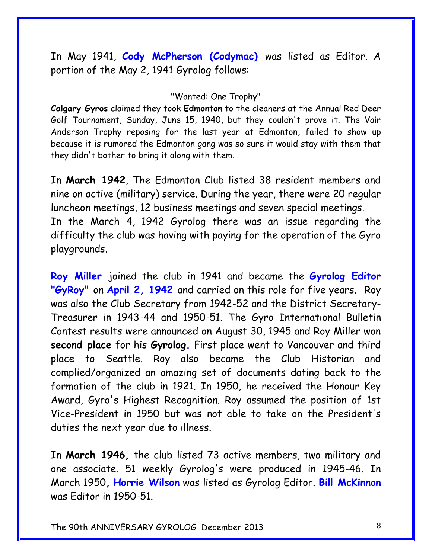In May 1941, **Cody McPherson (Codymac)** was listed as Editor. A portion of the May 2, 1941 Gyrolog follows:

#### "Wanted: One Trophy"

**Calgary Gyros** claimed they took **Edmonton** to the cleaners at the Annual Red Deer Golf Tournament, Sunday, June 15, 1940, but they couldn't prove it. The Vair Anderson Trophy reposing for the last year at Edmonton, failed to show up because it is rumored the Edmonton gang was so sure it would stay with them that they didn't bother to bring it along with them.

In **March 1942**, The Edmonton Club listed 38 resident members and nine on active (military) service. During the year, there were 20 regular luncheon meetings, 12 business meetings and seven special meetings. In the March 4, 1942 Gyrolog there was an issue regarding the difficulty the club was having with paying for the operation of the Gyro playgrounds.

**Roy Miller** joined the club in 1941 and became the **Gyrolog Editor "GyRoy"** on **April 2, 1942** and carried on this role for five years. Roy was also the Club Secretary from 1942-52 and the District Secretary-Treasurer in 1943-44 and 1950-51. The Gyro International Bulletin Contest results were announced on August 30, 1945 and Roy Miller won **second place** for his **Gyrolog.** First place went to Vancouver and third place to Seattle. Roy also became the Club Historian and complied/organized an amazing set of documents dating back to the formation of the club in 1921. In 1950, he received the Honour Key Award, Gyro's Highest Recognition. Roy assumed the position of 1st Vice-President in 1950 but was not able to take on the President's duties the next year due to illness.

In **March 1946,** the club listed 73 active members, two military and one associate. 51 weekly Gyrolog's were produced in 1945-46. In March 1950**, Horrie Wilson** was listed as Gyrolog Editor. **Bill McKinnon**  was Editor in 1950-51.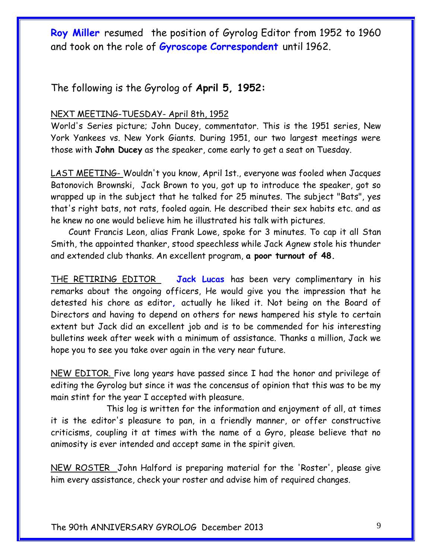**Roy Miller** resumed the position of Gyrolog Editor from 1952 to 1960 and took on the role of **Gyroscope Correspondent** until 1962.

The following is the Gyrolog of **April 5, 1952:**

#### NEXT MEETING-TUESDAY- April 8th, 1952

World's Series picture; John Ducey, commentator. This is the 1951 series, New York Yankees vs. New York Giants. During 1951, our two largest meetings were those with **John Ducey** as the speaker, come early to get a seat on Tuesday.

LAST MEETING- Wouldn't you know, April 1st., everyone was fooled when Jacques Batonovich Brownski, Jack Brown to you, got up to introduce the speaker, got so wrapped up in the subject that he talked for 25 minutes. The subject "Bats", yes that's right bats, not rats, fooled again. He described their sex habits etc. and as he knew no one would believe him he illustrated his talk with pictures.

 Count Francis Leon, alias Frank Lowe, spoke for 3 minutes. To cap it all Stan Smith, the appointed thanker, stood speechless while Jack Agnew stole his thunder and extended club thanks. An excellent program, **a poor turnout of 48.**

THE RETIRING EDITOR **Jack Lucas** has been very complimentary in his remarks about the ongoing officers, He would give you the impression that he detested his chore as editor**,** actually he liked it. Not being on the Board of Directors and having to depend on others for news hampered his style to certain extent but Jack did an excellent job and is to be commended for his interesting bulletins week after week with a minimum of assistance. Thanks a million, Jack we hope you to see you take over again in the very near future.

NEW EDITOR. Five long years have passed since I had the honor and privilege of editing the Gyrolog but since it was the concensus of opinion that this was to be my main stint for the year I accepted with pleasure.

 This log is written for the information and enjoyment of all, at times it is the editor's pleasure to pan, in a friendly manner, or offer constructive criticisms, coupling it at times with the name of a Gyro, please believe that no animosity is ever intended and accept same in the spirit given.

NEW ROSTER John Halford is preparing material for the 'Roster', please give him every assistance, check your roster and advise him of required changes.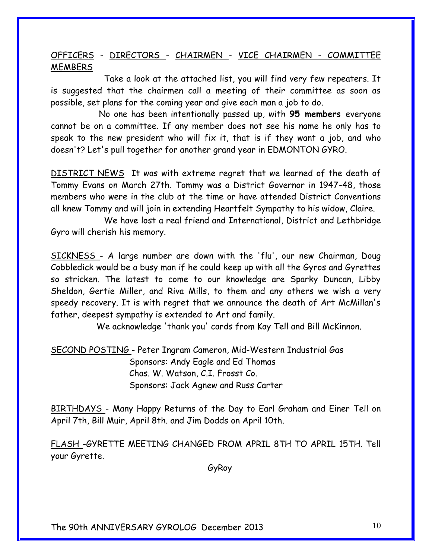#### OFFICERS - DIRECTORS - CHAIRMEN - VICE CHAIRMEN - COMMITTEE MEMBERS

 Take a look at the attached list, you will find very few repeaters. It is suggested that the chairmen call a meeting of their committee as soon as possible, set plans for the coming year and give each man a job to do.

 No one has been intentionally passed up, with **95 members** everyone cannot be on a committee. If any member does not see his name he only has to speak to the new president who will fix it, that is if they want a job, and who doesn't? Let's pull together for another grand year in EDMONTON GYRO.

DISTRICT NEWS It was with extreme regret that we learned of the death of Tommy Evans on March 27th. Tommy was a District Governor in 1947-48, those members who were in the club at the time or have attended District Conventions all knew Tommy and will join in extending Heartfelt Sympathy to his widow, Claire.

 We have lost a real friend and International, District and Lethbridge Gyro will cherish his memory.

SICKNESS - A large number are down with the 'flu', our new Chairman, Doug Cobbledick would be a busy man if he could keep up with all the Gyros and Gyrettes so stricken. The latest to come to our knowledge are Sparky Duncan, Libby Sheldon, Gertie Miller, and Riva Mills, to them and any others we wish a very speedy recovery. It is with regret that we announce the death of Art McMillan's father, deepest sympathy is extended to Art and family.

We acknowledge 'thank you' cards from Kay Tell and Bill McKinnon.

SECOND POSTING - Peter Ingram Cameron, Mid-Western Industrial Gas Sponsors: Andy Eagle and Ed Thomas Chas. W. Watson, C.I. Frosst Co. Sponsors: Jack Agnew and Russ Carter

BIRTHDAYS - Many Happy Returns of the Day to Earl Graham and Einer Tell on April 7th, Bill Muir, April 8th. and Jim Dodds on April 10th.

FLASH -GYRETTE MEETING CHANGED FROM APRIL 8TH TO APRIL 15TH. Tell your Gyrette.

GyRoy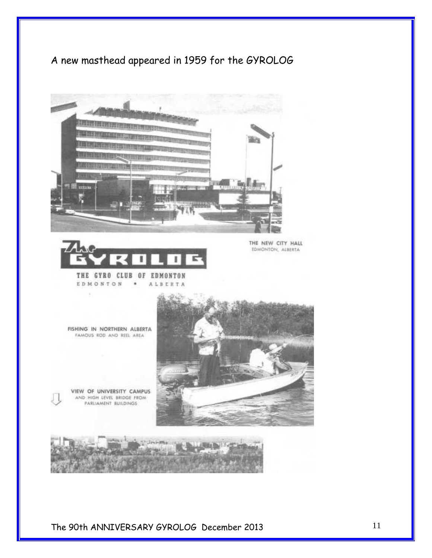### A new masthead appeared in 1959 for the GYROLOG



ALBERTA



 $\blacksquare$ 

THE NEW CITY HALL EDMONTON, ALBERTA

FISHING IN NORTHERN ALBERTA FAMOUS ROD AND REEL AREA

EDMONTON

VIEW OF UNIVERSITY CAMPUS AND HIGH LEVEL BRIDGE FROM<br>PARLIAMENT BUILDINGS

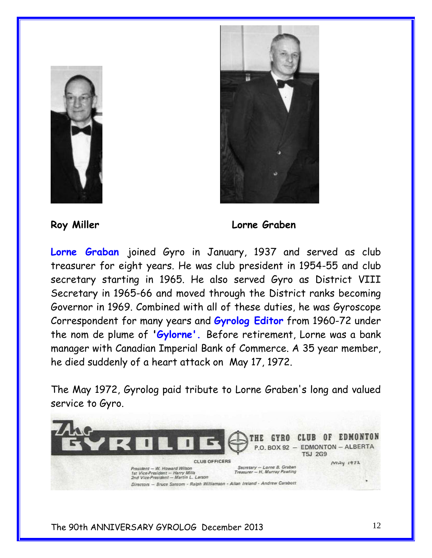



#### **Roy Miller Lorne Graben**

**Lorne Graban** joined Gyro in January, 1937 and served as club treasurer for eight years. He was club president in 1954-55 and club secretary starting in 1965. He also served Gyro as District VIII Secretary in 1965-66 and moved through the District ranks becoming Governor in 1969. Combined with all of these duties, he was Gyroscope Correspondent for many years and **Gyrolog Editor** from 1960-72 under the nom de plume of **'Gylorne'.** Before retirement, Lorne was a bank manager with Canadian Imperial Bank of Commerce. A 35 year member, he died suddenly of a heart attack on May 17, 1972.

The May 1972, Gyrolog paid tribute to Lorne Graben's long and valued service to Gyro.

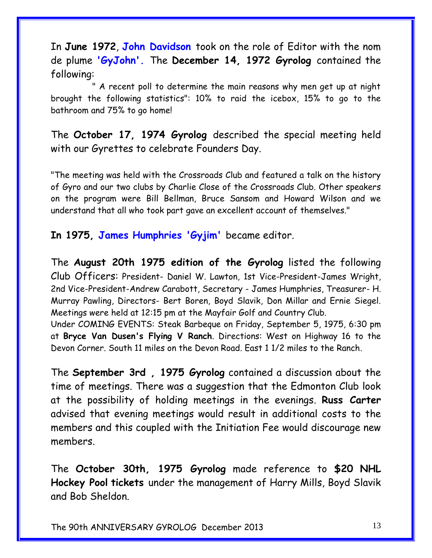In **June 1972**, **John Davidson** took on the role of Editor with the nom de plume **'GyJohn'.** The **December 14, 1972 Gyrolog** contained the following:

 " A recent poll to determine the main reasons why men get up at night brought the following statistics": 10% to raid the icebox, 15% to go to the bathroom and 75% to go home!

The **October 17, 1974 Gyrolog** described the special meeting held with our Gyrettes to celebrate Founders Day.

"The meeting was held with the Crossroads Club and featured a talk on the history of Gyro and our two clubs by Charlie Close of the Crossroads Club. Other speakers on the program were Bill Bellman, Bruce Sansom and Howard Wilson and we understand that all who took part gave an excellent account of themselves."

**In 1975, James Humphries 'Gyjim'** became editor.

The **August 20th 1975 edition of the Gyrolog** listed the following Club Officers: President- Daniel W. Lawton, 1st Vice-President-James Wright, 2nd Vice-President-Andrew Carabott, Secretary - James Humphries, Treasurer- H. Murray Pawling, Directors- Bert Boren, Boyd Slavik, Don Millar and Ernie Siegel. Meetings were held at 12:15 pm at the Mayfair Golf and Country Club.

Under COMING EVENTS: Steak Barbeque on Friday, September 5, 1975, 6:30 pm at **Bryce Van Dusen's Flying V Ranch**. Directions: West on Highway 16 to the Devon Corner. South 11 miles on the Devon Road. East 1 1/2 miles to the Ranch.

The **September 3rd , 1975 Gyrolog** contained a discussion about the time of meetings. There was a suggestion that the Edmonton Club look at the possibility of holding meetings in the evenings. **Russ Carter**  advised that evening meetings would result in additional costs to the members and this coupled with the Initiation Fee would discourage new members.

The **October 30th, 1975 Gyrolog** made reference to **\$20 NHL Hockey Pool tickets** under the management of Harry Mills, Boyd Slavik and Bob Sheldon.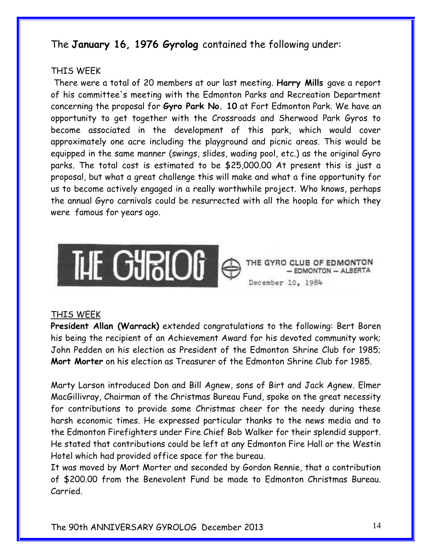### The **January 16, 1976 Gyrolog** contained the following under:

#### THIS WEEK

There were a total of 20 members at our last meeting. **Harry Mills** gave a report of his committee's meeting with the Edmonton Parks and Recreation Department concerning the proposal for **Gyro Park No. 10** at Fort Edmonton Park. We have an opportunity to get together with the Crossroads and Sherwood Park Gyros to become associated in the development of this park, which would cover approximately one acre including the playground and picnic areas. This would be equipped in the same manner (swings, slides, wading pool, etc.) as the original Gyro parks. The total cost is estimated to be \$25,000.00 At present this is just a proposal, but what a great challenge this will make and what a fine opportunity for us to become actively engaged in a really worthwhile project. Who knows, perhaps the annual Gyro carnivals could be resurrected with all the hoopla for which they were famous for years ago.



#### THIS WEEK

**President Allan (Warrack)** extended congratulations to the following: Bert Boren his being the recipient of an Achievement Award for his devoted community work; John Pedden on his election as President of the Edmonton Shrine Club for 1985; **Mort Morter** on his election as Treasurer of the Edmonton Shrine Club for 1985.

Marty Larson introduced Don and Bill Agnew, sons of Birt and Jack Agnew. Elmer MacGillivray, Chairman of the Christmas Bureau Fund, spoke on the great necessity for contributions to provide some Christmas cheer for the needy during these harsh economic times. He expressed particular thanks to the news media and to the Edmonton Firefighters under Fire Chief Bob Walker for their splendid support. He stated that contributions could be left at any Edmonton Fire Hall or the Westin Hotel which had provided office space for the bureau.

It was moved by Mort Morter and seconded by Gordon Rennie, that a contribution of \$200.00 from the Benevolent Fund be made to Edmonton Christmas Bureau. Carried.

**EDMONTON - ALBERTA**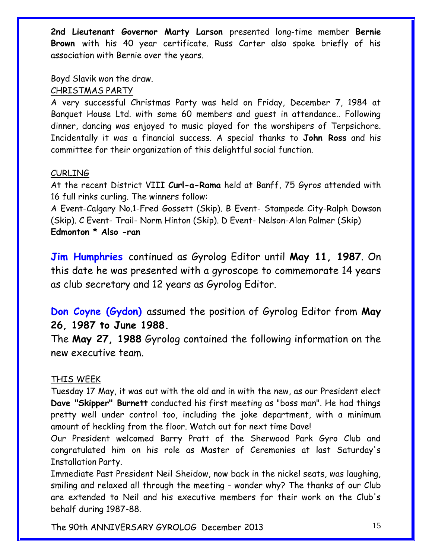**2nd Lieutenant Governor Marty Larson** presented long-time member **Bernie Brown** with his 40 year certificate. Russ Carter also spoke briefly of his association with Bernie over the years.

Boyd Slavik won the draw.

#### CHRISTMAS PARTY

A very successful Christmas Party was held on Friday, December 7, 1984 at Banquet House Ltd. with some 60 members and guest in attendance.. Following dinner, dancing was enjoyed to music played for the worshipers of Terpsichore. Incidentally it was a financial success. A special thanks to **John Ross** and his committee for their organization of this delightful social function.

#### CURLING

At the recent District VIII **Curl-a-Rama** held at Banff, 75 Gyros attended with 16 full rinks curling. The winners follow:

A Event-Calgary No.1-Fred Gossett (Skip). B Event- Stampede City-Ralph Dowson (Skip). C Event- Trail- Norm Hinton (Skip). D Event- Nelson-Alan Palmer (Skip) **Edmonton \* Also -ran**

**Jim Humphries** continued as Gyrolog Editor until **May 11, 1987**. On this date he was presented with a gyroscope to commemorate 14 years as club secretary and 12 years as Gyrolog Editor.

**Don Coyne (Gydon)** assumed the position of Gyrolog Editor from **May 26, 1987 to June 1988.**

The **May 27, 1988** Gyrolog contained the following information on the new executive team.

#### THIS WEEK

Tuesday 17 May, it was out with the old and in with the new, as our President elect **Dave "Skipper" Burnett** conducted his first meeting as "boss man". He had things pretty well under control too, including the joke department, with a minimum amount of heckling from the floor. Watch out for next time Dave!

Our President welcomed Barry Pratt of the Sherwood Park Gyro Club and congratulated him on his role as Master of Ceremonies at last Saturday's Installation Party.

Immediate Past President Neil Sheidow, now back in the nickel seats, was laughing, smiling and relaxed all through the meeting - wonder why? The thanks of our Club are extended to Neil and his executive members for their work on the Club's behalf during 1987-88.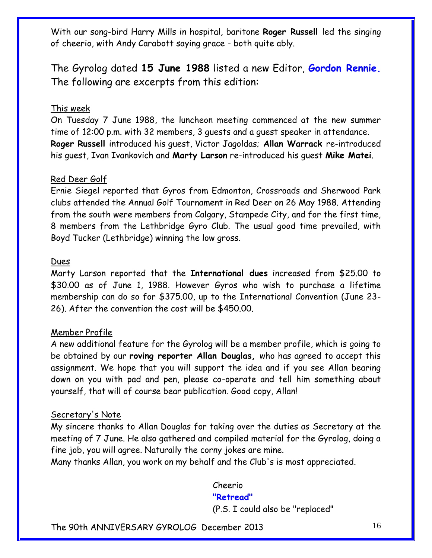With our song-bird Harry Mills in hospital, baritone **Roger Russell** led the singing of cheerio, with Andy Carabott saying grace - both quite ably.

The Gyrolog dated **15 June 1988** listed a new Editor, **Gordon Rennie.**  The following are excerpts from this edition:

#### This week

On Tuesday 7 June 1988, the luncheon meeting commenced at the new summer time of 12:00 p.m. with 32 members, 3 guests and a guest speaker in attendance. **Roger Russell** introduced his guest, Victor Jagoldas; **Allan Warrack** re-introduced his guest, Ivan Ivankovich and **Marty Larson** re-introduced his guest **Mike Matei**.

#### Red Deer Golf

Ernie Siegel reported that Gyros from Edmonton, Crossroads and Sherwood Park clubs attended the Annual Golf Tournament in Red Deer on 26 May 1988. Attending from the south were members from Calgary, Stampede City, and for the first time, 8 members from the Lethbridge Gyro Club. The usual good time prevailed, with Boyd Tucker (Lethbridge) winning the low gross.

#### Dues

Marty Larson reported that the **International dues** increased from \$25.00 to \$30.00 as of June 1, 1988. However Gyros who wish to purchase a lifetime membership can do so for \$375.00, up to the International Convention (June 23- 26). After the convention the cost will be \$450.00.

#### Member Profile

A new additional feature for the Gyrolog will be a member profile, which is going to be obtained by our **roving reporter Allan Douglas,** who has agreed to accept this assignment. We hope that you will support the idea and if you see Allan bearing down on you with pad and pen, please co-operate and tell him something about yourself, that will of course bear publication. Good copy, Allan!

#### Secretary's Note

My sincere thanks to Allan Douglas for taking over the duties as Secretary at the meeting of 7 June. He also gathered and compiled material for the Gyrolog, doing a fine job, you will agree. Naturally the corny jokes are mine.

Many thanks Allan, you work on my behalf and the Club's is most appreciated.

#### Cheerio

#### **"Retread"**

(P.S. I could also be "replaced"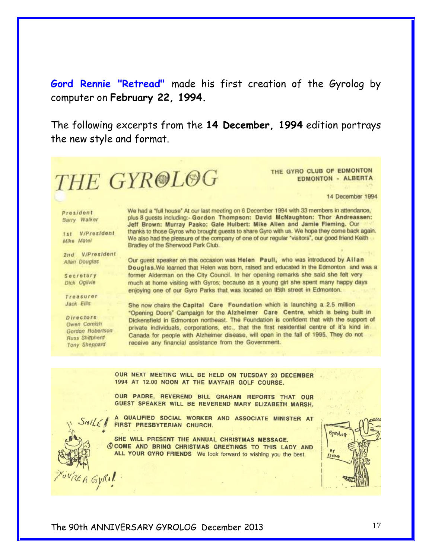**Gord Rennie "Retread"** made his first creation of the Gyrolog by computer on **February 22, 1994.** 

The following excerpts from the **14 December, 1994** edition portrays the new style and format.



THE GYRO CLUB OF EDMONTON **EDMONTON - ALBERTA** 

14 December 1994

President Barry Walker

1st V/President Mike Matel

2nd V/President Allan Douglas

Secretary **Dick Ogilvie** 

Treasurer Jack Ellis

Directors **Owen Cornish** Gordon Robertson **Russ Shepherd Tony Sheppard** 

 $SMLF$ 

You'REA GYRI!

We had a "full house" At our last meeting on 6 December 1994 with 33 members in attendance, plus 8 quests including:- Gordon Thompson: David McNaughton: Thor Andreassen: Jeff Brown: Murray Pasko: Gale Hulbert: Mike Allen and Jamie Fleming. Our thanks to those Gyros who brought guests to share Gyro with us. We hope they come back again. We also had the pleasure of the company of one of our regular "visitors", our good friend Keith Bradley of the Sherwood Park Club.

Our guest speaker on this occasion was Helen Paull, who was introduced by Allan Douglas. We learned that Helen was born, raised and educated in the Edmonton and was a former Alderman on the City Council. In her opening remarks she said she felt very much at home visiting with Gyros; because as a young girl she spent many happy days enjoying one of our Gyro Parks that was located on II5th street in Edmonton.

She now chairs the Capital Care Foundation which is launching a 2.5 million "Opening Doors" Campaign for the Alzheimer Care Centre, which is being built in Dickensfield in Edmonton northeast. The Foundation is confident that with the support of private individuals, corporations, etc., that the first residential centre of it's kind in Canada for people with Alzheimer disease, will open in the fall of 1995. They do not receive any financial assistance from the Government.

OUR NEXT MEETING WILL BE HELD ON TUESDAY 20 DECEMBER 1994 AT 12.00 NOON AT THE MAYFAIR GOLF COURSE.

OUR PADRE, REVEREND BILL GRAHAM REPORTS THAT OUR GUEST SPEAKER WILL BE REVEREND MARY ELIZABETH MARSH.

A QUALIFIED SOCIAL WORKER AND ASSOCIATE MINISTER AT FIRST PRESBYTERIAN CHURCH.

SHE WILL PRESENT THE ANNUAL CHRISTMAS MESSAGE. COME AND BRING CHRISTMAS GREETINGS TO THIS LADY AND ALL YOUR GYRO FRIENDS We look forward to wishing you the best.

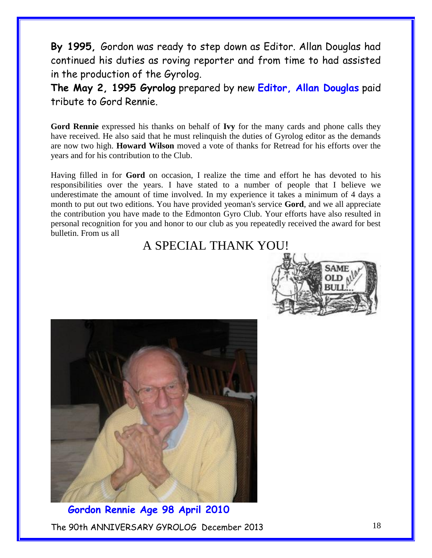**By 1995,** Gordon was ready to step down as Editor. Allan Douglas had continued his duties as roving reporter and from time to had assisted in the production of the Gyrolog.

**The May 2, 1995 Gyrolog** prepared by new **Editor, Allan Douglas** paid tribute to Gord Rennie.

**Gord Rennie** expressed his thanks on behalf of **Ivy** for the many cards and phone calls they have received. He also said that he must relinquish the duties of Gyrolog editor as the demands are now two high. **Howard Wilson** moved a vote of thanks for Retread for his efforts over the years and for his contribution to the Club.

Having filled in for **Gord** on occasion, I realize the time and effort he has devoted to his responsibilities over the years. I have stated to a number of people that I believe we underestimate the amount of time involved. In my experience it takes a minimum of 4 days a month to put out two editions. You have provided yeoman's service **Gord**, and we all appreciate the contribution you have made to the Edmonton Gyro Club. Your efforts have also resulted in personal recognition for you and honor to our club as you repeatedly received the award for best bulletin. From us all

### A SPECIAL THANK YOU!





The 90th ANNIVERSARY GYROLOG December 2013  **Gordon Rennie Age 98 April 2010**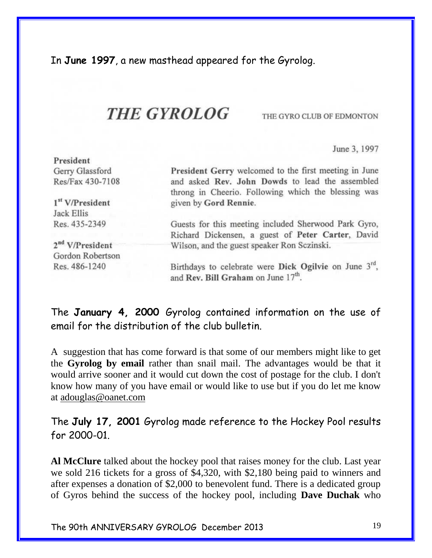In **June 1997**, a new masthead appeared for the Gyrolog.

## **THE GYROLOG**

THE GYRO CLUB OF EDMONTON

June 3, 1997

| President                               |                                                                                                |
|-----------------------------------------|------------------------------------------------------------------------------------------------|
| Gerry Glassford                         | President Gerry welcomed to the first meeting in June                                          |
| Res/Fax 430-7108                        | and asked Rev. John Dowds to lead the assembled                                                |
|                                         | throng in Cheerio. Following which the blessing was                                            |
| 1 <sup>st</sup> V/President             | given by Gord Rennie.                                                                          |
| Jack Ellis                              |                                                                                                |
| Res. 435-2349                           | Guests for this meeting included Sherwood Park Gyro,                                           |
|                                         | Richard Dickensen, a guest of Peter Carter, David                                              |
| 2 <sup>nd</sup> V/P <sub>resident</sub> | Wilson, and the guest speaker Ron Sczinski.                                                    |
| Gordon Robertson                        |                                                                                                |
| Res. 486-1240                           | Birthdays to celebrate were Dick Ogilvie on June 3rd.<br>and Rev. Bill Graham on June $17th$ . |

The **January 4, 2000** Gyrolog contained information on the use of email for the distribution of the club bulletin.

A suggestion that has come forward is that some of our members might like to get the **Gyrolog by email** rather than snail mail. The advantages would be that it would arrive sooner and it would cut down the cost of postage for the club. I don't know how many of you have email or would like to use but if you do let me know at [adouglas@oanet.com](adouglas@oanet.com%20%20%20)

The **July 17, 2001** Gyrolog made reference to the Hockey Pool results for 2000-01.

**Al McClure** talked about the hockey pool that raises money for the club. Last year we sold 216 tickets for a gross of \$4,320, with \$2,180 being paid to winners and after expenses a donation of \$2,000 to benevolent fund. There is a dedicated group of Gyros behind the success of the hockey pool, including **Dave Duchak** who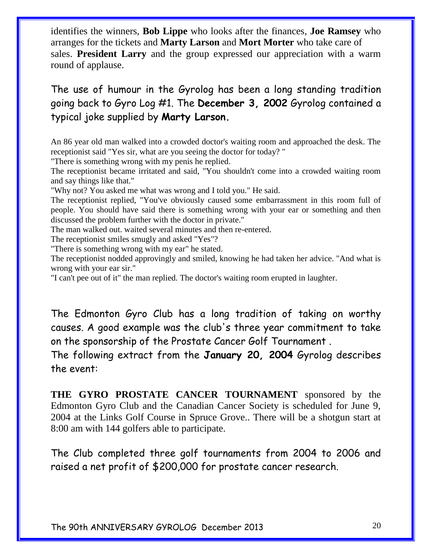identifies the winners, **Bob Lippe** who looks after the finances, **Joe Ramsey** who arranges for the tickets and **Marty Larson** and **Mort Morter** who take care of sales. **President Larry** and the group expressed our appreciation with a warm round of applause.

### The use of humour in the Gyrolog has been a long standing tradition going back to Gyro Log #1. The **December 3, 2002** Gyrolog contained a typical joke supplied by **Marty Larson.**

An 86 year old man walked into a crowded doctor's waiting room and approached the desk. The receptionist said "Yes sir, what are you seeing the doctor for today? "

"There is something wrong with my penis he replied.

The receptionist became irritated and said, "You shouldn't come into a crowded waiting room and say things like that."

"Why not? You asked me what was wrong and I told you." He said.

The receptionist replied, "You've obviously caused some embarrassment in this room full of people. You should have said there is something wrong with your ear or something and then discussed the problem further with the doctor in private."

The man walked out. waited several minutes and then re-entered.

The receptionist smiles smugly and asked "Yes"?

"There is something wrong with my ear" he stated.

The receptionist nodded approvingly and smiled, knowing he had taken her advice. "And what is wrong with your ear sir."

"I can't pee out of it" the man replied. The doctor's waiting room erupted in laughter.

The Edmonton Gyro Club has a long tradition of taking on worthy causes. A good example was the club's three year commitment to take on the sponsorship of the Prostate Cancer Golf Tournament .

The following extract from the **January 20, 2004** Gyrolog describes the event:

**THE GYRO PROSTATE CANCER TOURNAMENT** sponsored by the Edmonton Gyro Club and the Canadian Cancer Society is scheduled for June 9, 2004 at the Links Golf Course in Spruce Grove.. There will be a shotgun start at 8:00 am with 144 golfers able to participate.

The Club completed three golf tournaments from 2004 to 2006 and raised a net profit of \$200,000 for prostate cancer research.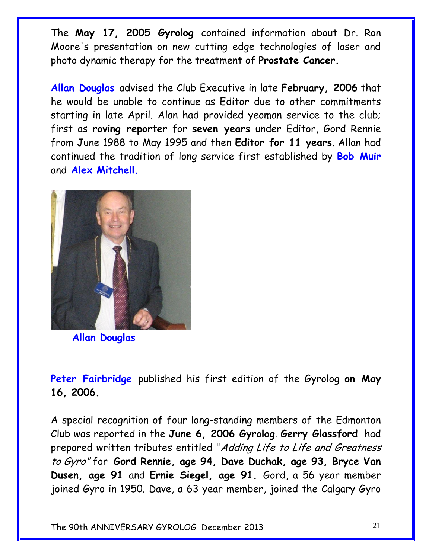The **May 17, 2005 Gyrolog** contained information about Dr. Ron Moore's presentation on new cutting edge technologies of laser and photo dynamic therapy for the treatment of **Prostate Cancer.**

**Allan Douglas** advised the Club Executive in late **February, 2006** that he would be unable to continue as Editor due to other commitments starting in late April. Alan had provided yeoman service to the club; first as **roving reporter** for **seven years** under Editor, Gord Rennie from June 1988 to May 1995 and then **Editor for 11 years**. Allan had continued the tradition of long service first established by **Bob Muir**  and **Alex Mitchell.**



 **Allan Douglas**

**Peter Fairbridge** published his first edition of the Gyrolog **on May 16, 2006.**

A special recognition of four long-standing members of the Edmonton Club was reported in the **June 6, 2006 Gyrolog**. **Gerry Glassford** had prepared written tributes entitled "Adding Life to Life and Greatness to Gyro" for **Gord Rennie, age 94, Dave Duchak, age 93, Bryce Van Dusen, age 91** and **Ernie Siegel, age 91.** Gord, a 56 year member joined Gyro in 1950. Dave, a 63 year member, joined the Calgary Gyro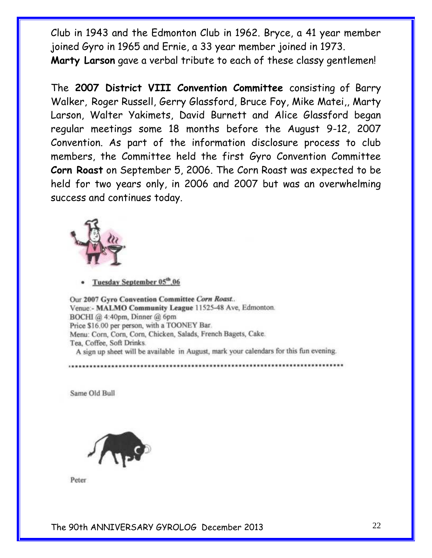Club in 1943 and the Edmonton Club in 1962. Bryce, a 41 year member joined Gyro in 1965 and Ernie, a 33 year member joined in 1973. **Marty Larson** gave a verbal tribute to each of these classy gentlemen!

The **2007 District VIII Convention Committee** consisting of Barry Walker, Roger Russell, Gerry Glassford, Bruce Foy, Mike Matei,, Marty Larson, Walter Yakimets, David Burnett and Alice Glassford began regular meetings some 18 months before the August 9-12, 2007 Convention. As part of the information disclosure process to club members, the Committee held the first Gyro Convention Committee **Corn Roast** on September 5, 2006. The Corn Roast was expected to be held for two years only, in 2006 and 2007 but was an overwhelming success and continues today.



Tuesday September 05<sup>th</sup>,06

Our 2007 Gyro Convention Committee Corn Roast... Venue:- MALMO Community League 11525-48 Ave, Edmonton. BOCHI @ 4:40pm, Dinner @ 6pm Price \$16.00 per person, with a TOONEY Bar. Menu: Corn, Corn, Corn, Chicken, Salads, French Bagets, Cake. Tea, Coffee, Soft Drinks. A sign up sheet will be available in August, mark your calendars for this fun evening.

...................

Same Old Bull



Peter